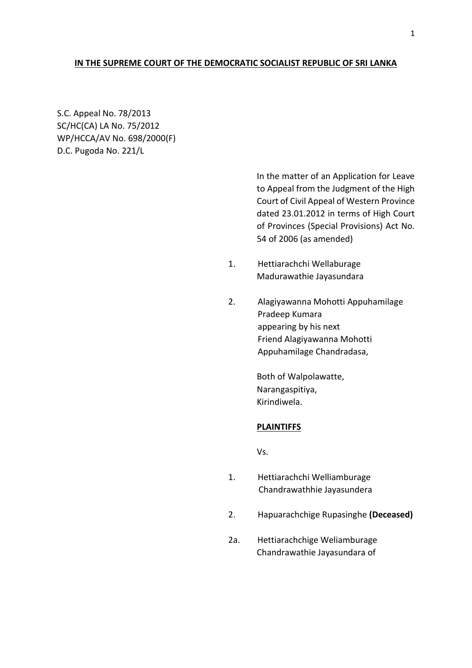# **IN THE SUPREME COURT OF THE DEMOCRATIC SOCIALIST REPUBLIC OF SRI LANKA**

S.C. Appeal No. 78/2013 SC/HC(CA) LA No. 75/2012 WP/HCCA/AV No. 698/2000(F) D.C. Pugoda No. 221/L

> In the matter of an Application for Leave to Appeal from the Judgment of the High Court of Civil Appeal of Western Province dated 23.01.2012 in terms of High Court of Provinces (Special Provisions) Act No. 54 of 2006 (as amended)

- 1. Hettiarachchi Wellaburage Madurawathie Jayasundara
- 2. Alagiyawanna Mohotti Appuhamilage Pradeep Kumara appearing by his next Friend Alagiyawanna Mohotti Appuhamilage Chandradasa,

Both of Walpolawatte, Narangaspitiya, Kirindiwela.

#### **PLAINTIFFS**

Vs.

- 1. Hettiarachchi Welliamburage Chandrawathhie Jayasundera
- 2. Hapuarachchige Rupasinghe **(Deceased)**
- 2a. Hettiarachchige Weliamburage Chandrawathie Jayasundara of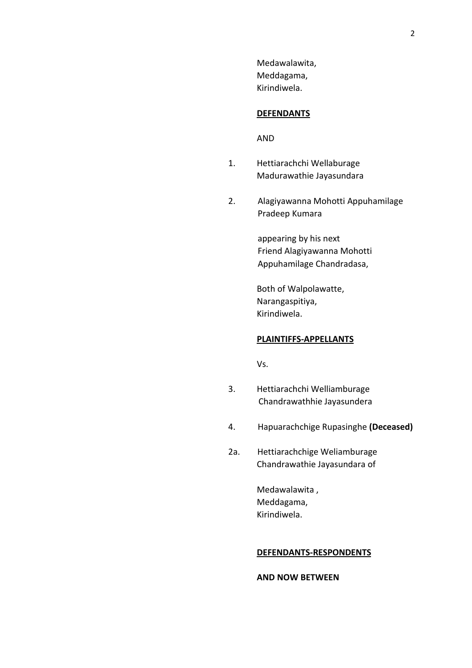Medawalawita, Meddagama, Kirindiwela.

# **DEFENDANTS**

AND

- 1. Hettiarachchi Wellaburage Madurawathie Jayasundara
- 2. Alagiyawanna Mohotti Appuhamilage Pradeep Kumara

 appearing by his next Friend Alagiyawanna Mohotti Appuhamilage Chandradasa,

Both of Walpolawatte, Narangaspitiya, Kirindiwela.

#### **PLAINTIFFS-APPELLANTS**

Vs.

- 3. Hettiarachchi Welliamburage Chandrawathhie Jayasundera
- 4. Hapuarachchige Rupasinghe **(Deceased)**
- 2a. Hettiarachchige Weliamburage Chandrawathie Jayasundara of

Medawalawita , Meddagama, Kirindiwela.

### **DEFENDANTS-RESPONDENTS**

**AND NOW BETWEEN**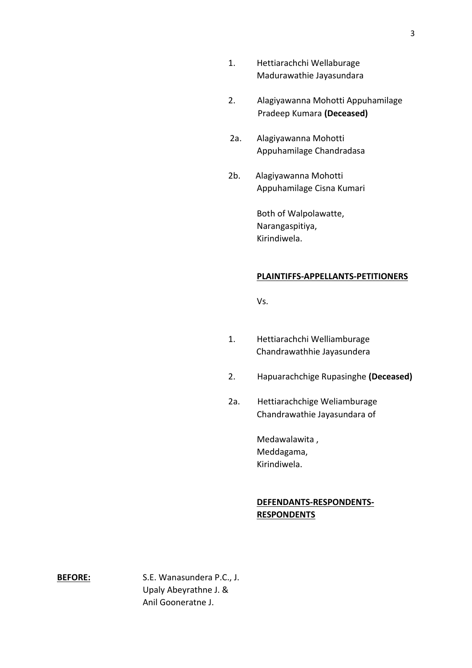- 1. Hettiarachchi Wellaburage Madurawathie Jayasundara
- 2. Alagiyawanna Mohotti Appuhamilage Pradeep Kumara **(Deceased)**
- 2a. Alagiyawanna Mohotti Appuhamilage Chandradasa
- 2b. Alagiyawanna Mohotti Appuhamilage Cisna Kumari

Both of Walpolawatte, Narangaspitiya, Kirindiwela.

### **PLAINTIFFS-APPELLANTS-PETITIONERS**

Vs.

- 1. Hettiarachchi Welliamburage Chandrawathhie Jayasundera
- 2. Hapuarachchige Rupasinghe **(Deceased)**
- 2a. Hettiarachchige Weliamburage Chandrawathie Jayasundara of

Medawalawita , Meddagama, Kirindiwela.

# **DEFENDANTS-RESPONDENTS-RESPONDENTS**

**BEFORE:** S.E. Wanasundera P.C., J. Upaly Abeyrathne J. & Anil Gooneratne J.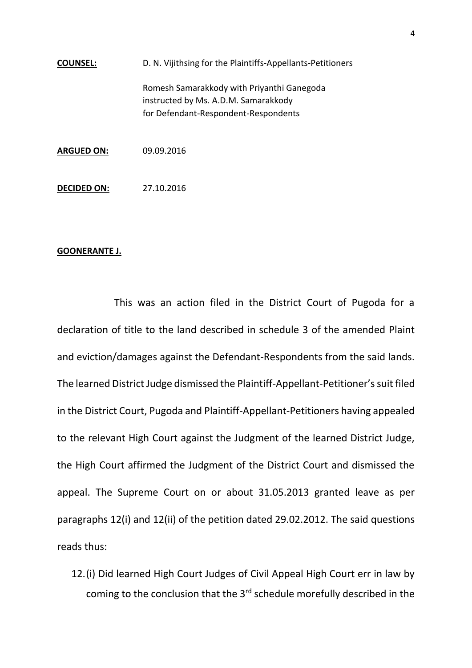**COUNSEL:** D. N. Vijithsing for the Plaintiffs-Appellants-Petitioners Romesh Samarakkody with Priyanthi Ganegoda instructed by Ms. A.D.M. Samarakkody for Defendant-Respondent-Respondents **ARGUED ON:** 09.09.2016 **DECIDED ON:** 27.10.2016

#### **GOONERANTE J.**

This was an action filed in the District Court of Pugoda for a declaration of title to the land described in schedule 3 of the amended Plaint and eviction/damages against the Defendant-Respondents from the said lands. The learned District Judge dismissed the Plaintiff-Appellant-Petitioner's suit filed in the District Court, Pugoda and Plaintiff-Appellant-Petitioners having appealed to the relevant High Court against the Judgment of the learned District Judge, the High Court affirmed the Judgment of the District Court and dismissed the appeal. The Supreme Court on or about 31.05.2013 granted leave as per paragraphs 12(i) and 12(ii) of the petition dated 29.02.2012. The said questions reads thus:

12.(i) Did learned High Court Judges of Civil Appeal High Court err in law by coming to the conclusion that the 3rd schedule morefully described in the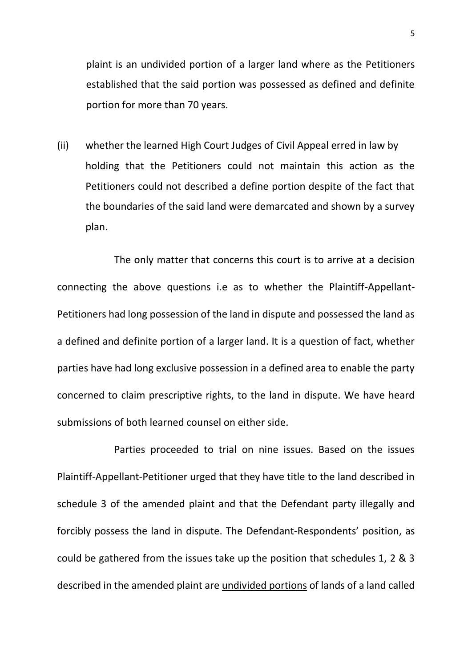plaint is an undivided portion of a larger land where as the Petitioners established that the said portion was possessed as defined and definite portion for more than 70 years.

(ii) whether the learned High Court Judges of Civil Appeal erred in law by holding that the Petitioners could not maintain this action as the Petitioners could not described a define portion despite of the fact that the boundaries of the said land were demarcated and shown by a survey plan.

The only matter that concerns this court is to arrive at a decision connecting the above questions i.e as to whether the Plaintiff-Appellant-Petitioners had long possession of the land in dispute and possessed the land as a defined and definite portion of a larger land. It is a question of fact, whether parties have had long exclusive possession in a defined area to enable the party concerned to claim prescriptive rights, to the land in dispute. We have heard submissions of both learned counsel on either side.

Parties proceeded to trial on nine issues. Based on the issues Plaintiff-Appellant-Petitioner urged that they have title to the land described in schedule 3 of the amended plaint and that the Defendant party illegally and forcibly possess the land in dispute. The Defendant-Respondents' position, as could be gathered from the issues take up the position that schedules 1, 2 & 3 described in the amended plaint are undivided portions of lands of a land called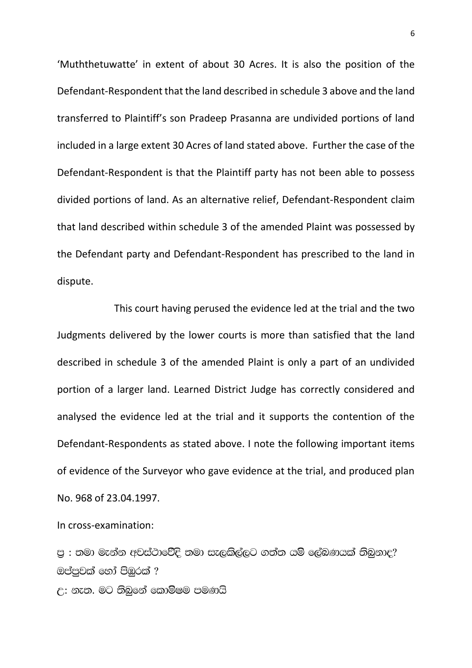'Muththetuwatte' in extent of about 30 Acres. It is also the position of the Defendant-Respondent that the land described in schedule 3 above and the land transferred to Plaintiff's son Pradeep Prasanna are undivided portions of land included in a large extent 30 Acres of land stated above. Further the case of the Defendant-Respondent is that the Plaintiff party has not been able to possess divided portions of land. As an alternative relief, Defendant-Respondent claim that land described within schedule 3 of the amended Plaint was possessed by the Defendant party and Defendant-Respondent has prescribed to the land in dispute.

This court having perused the evidence led at the trial and the two Judgments delivered by the lower courts is more than satisfied that the land described in schedule 3 of the amended Plaint is only a part of an undivided portion of a larger land. Learned District Judge has correctly considered and analysed the evidence led at the trial and it supports the contention of the Defendant-Respondents as stated above. I note the following important items of evidence of the Surveyor who gave evidence at the trial, and produced plan No. 968 of 23.04.1997.

In cross-examination:

පු : තමා මැන්න අවස්ථාවේදි තමා සැලකිල්ලට ගත්ත යම් ලේබණයක් තිබුනාද? ඔප්පුවක් හෝ පිඹුරක් ? උ: නැත. මට තිබුනේ කොමිෂම පමණයි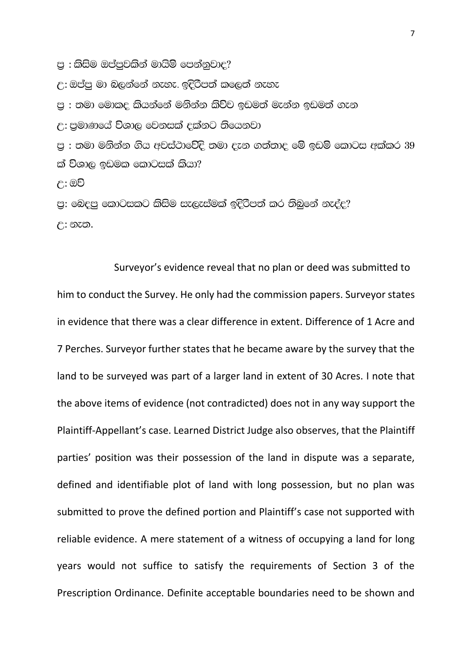පු : කිසිම ඔප්පුවකින් මායිම් පෙන්නුවාද?

උ: ඔප්පු මා බලන්නේ නැහැ. ඉදිරිපත් කලෙත් නැහැ

ප : තමා මොකද කියන්නේ මනින්න කිව්ව ඉඩමත් මැන්න ඉඩමත් ගැන

උ: පුමාණයේ විශාල වෙනසක් දක්නට තියෙනවා

පු : තමා මනින්න ගිය අවස්ථාවේදි තමා දැන ගත්තාද මේ ඉඩම් කොටස අක්කර  $39$ ක් විශාල ඉඩමක කොටසක් කියා?

උ: ඔව්

පු: බෙදපු කොටසකට කිසිම සැලැස්මක් ඉදිරිපත් කර තිබුනේ නැද්ද?  $F: 200$ .

Surveyor's evidence reveal that no plan or deed was submitted to him to conduct the Survey. He only had the commission papers. Surveyor states in evidence that there was a clear difference in extent. Difference of 1 Acre and 7 Perches. Surveyor further states that he became aware by the survey that the land to be surveyed was part of a larger land in extent of 30 Acres. I note that the above items of evidence (not contradicted) does not in any way support the Plaintiff-Appellant's case. Learned District Judge also observes, that the Plaintiff parties' position was their possession of the land in dispute was a separate, defined and identifiable plot of land with long possession, but no plan was submitted to prove the defined portion and Plaintiff's case not supported with reliable evidence. A mere statement of a witness of occupying a land for long years would not suffice to satisfy the requirements of Section 3 of the Prescription Ordinance. Definite acceptable boundaries need to be shown and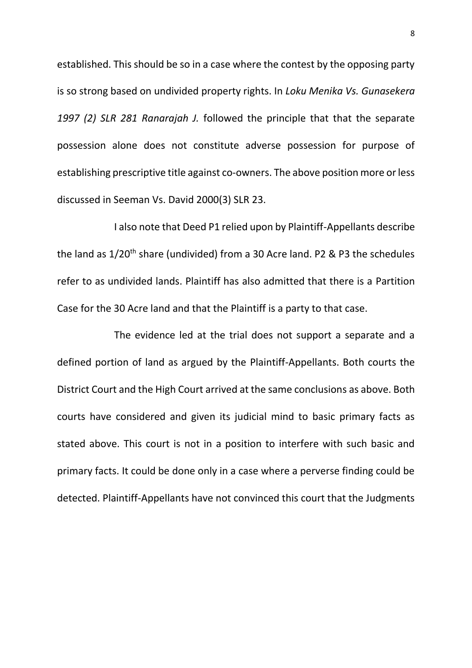established. This should be so in a case where the contest by the opposing party is so strong based on undivided property rights. In *Loku Menika Vs. Gunasekera 1997 (2) SLR 281 Ranarajah J.* followed the principle that that the separate possession alone does not constitute adverse possession for purpose of establishing prescriptive title against co-owners. The above position more or less discussed in Seeman Vs. David 2000(3) SLR 23.

I also note that Deed P1 relied upon by Plaintiff-Appellants describe the land as 1/20<sup>th</sup> share (undivided) from a 30 Acre land. P2 & P3 the schedules refer to as undivided lands. Plaintiff has also admitted that there is a Partition Case for the 30 Acre land and that the Plaintiff is a party to that case.

The evidence led at the trial does not support a separate and a defined portion of land as argued by the Plaintiff-Appellants. Both courts the District Court and the High Court arrived at the same conclusions as above. Both courts have considered and given its judicial mind to basic primary facts as stated above. This court is not in a position to interfere with such basic and primary facts. It could be done only in a case where a perverse finding could be detected. Plaintiff-Appellants have not convinced this court that the Judgments